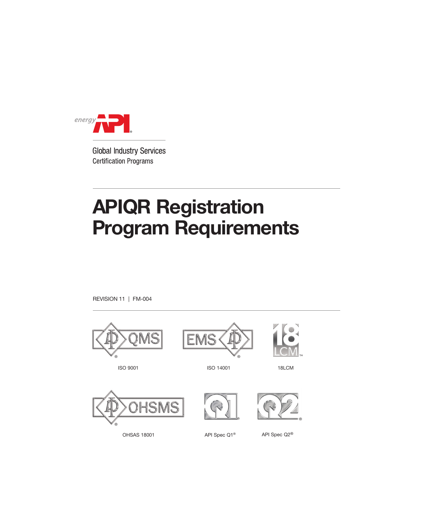

**Global Industry Services Certification Programs** 

# APIQR Registration Program Requirements

REVISION 11 | FM-004

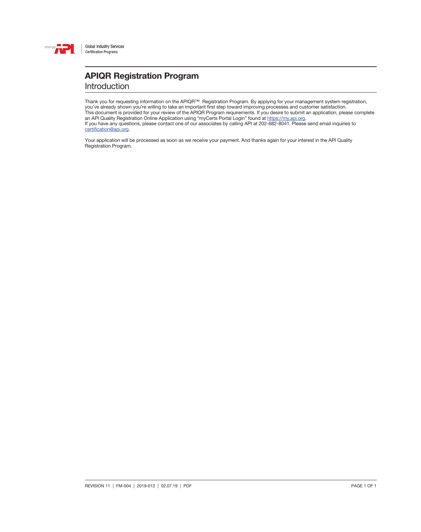

### APIQR Registration Program Introduction

Thank you for requesting information on the APIQR™ Registration Program. By applying for your management system registration, you've already shown you're willing to take an important first step toward improving processes and customer satisfaction. This document is provided for your review of the APIQR Program requirements. If you desire to submit an application, please complete an API Quality Registration Online Application using "myCerts Portal Login" found at [https://my.api.org.](https://my.api.org) If you have any questions, please contact one of our associates by calling API at 202-682-8041. Please send email inquiries to [certification@api.org](mailto:certification%40api.org?subject=).

Your application will be processed as soon as we receive your payment. And thanks again for your interest in the API Quality Registration Program.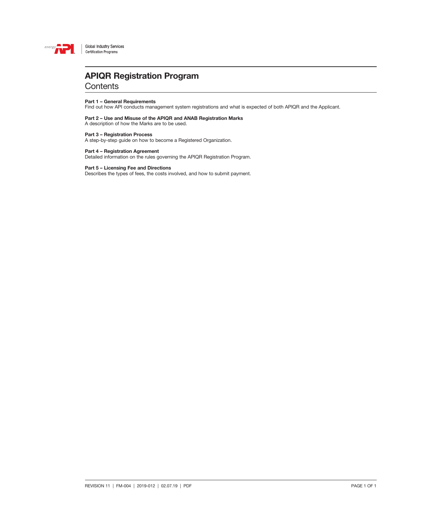

**Global Industry Services** Certification Programs

## APIQR Registration Program

**Contents** 

### Part 1 – General Requirements

Find out how API conducts management system registrations and what is expected of both APIQR and the Applicant.

### Part 2 – Use and Misuse of the APIQR and ANAB Registration Marks A description of how the Marks are to be used.

### Part 3 – Registration Process

A step-by-step guide on how to become a Registered Organization.

### Part 4 – Registration Agreement

Detailed information on the rules governing the APIQR Registration Program.

### Part 5 – Licensing Fee and Directions

Describes the types of fees, the costs involved, and how to submit payment.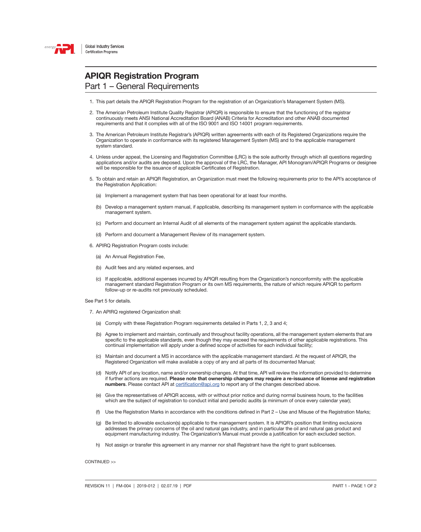

### APIQR Registration Program Part 1 – General Requirements

- 1. This part details the APIQR Registration Program for the registration of an Organization's Management System (MS).
- 2. The American Petroleum Institute Quality Registrar (APIQR) is responsible to ensure that the functioning of the registrar continuously meets ANSI National Accreditation Board (ANAB) Criteria for Accreditation and other ANAB documented requirements and that it complies with all of the ISO 9001 and ISO 14001 program requirements.
- 3. The American Petroleum Institute Registrar's (APIQR) written agreements with each of its Registered Organizations require the Organization to operate in conformance with its registered Management System (MS) and to the applicable management system standard.
- 4. Unless under appeal, the Licensing and Registration Committee (LRC) is the sole authority through which all questions regarding applications and/or audits are deposed. Upon the approval of the LRC, the Manager, API Monogram/APIQR Programs or designee will be responsible for the issuance of applicable Certificates of Registration.
- 5. To obtain and retain an APIQR Registration, an Organization must meet the following requirements prior to the API's acceptance of the Registration Application:
	- (a) Implement a management system that has been operational for at least four months.
	- (b) Develop a management system manual, if applicable, describing its management system in conformance with the applicable management system.
	- (c) Perform and document an Internal Audit of all elements of the management system against the applicable standards.
	- (d) Perform and document a Management Review of its management system.
- 6. APIRQ Registration Program costs include:
	- (a) An Annual Registration Fee,
	- (b) Audit fees and any related expenses, and
	- (c) If applicable, additional expenses incurred by APIQR resulting from the Organization's nonconformity with the applicable management standard Registration Program or its own MS requirements, the nature of which require APIQR to perform follow-up or re-audits not previously scheduled.

See Part 5 for details.

- 7. An APIRQ registered Organization shall:
	- (a) Comply with these Registration Program requirements detailed in Parts 1, 2, 3 and 4;
	- (b) Agree to implement and maintain, continually and throughout facility operations, all the management system elements that are specific to the applicable standards, even though they may exceed the requirements of other applicable registrations. This continual implementation will apply under a defined scope of activities for each individual facility;
	- (c) Maintain and document a MS in accordance with the applicable management standard. At the request of APIQR, the Registered Organization will make available a copy of any and all parts of its documented Manual;
	- (d) Notify API of any location, name and/or ownership changes. At that time, API will review the information provided to determine if further actions are required. Please note that ownership changes may require a re-issuance of license and registration numbers. Please contact API at [certification@api.org](mailto:certification%40api.org?subject=) to report any of the changes described above.
	- (e) Give the representatives of APIQR access, with or without prior notice and during normal business hours, to the facilities which are the subject of registration to conduct initial and periodic audits (a minimum of once every calendar year);
	- (f) Use the Registration Marks in accordance with the conditions defined in Part 2 Use and Misuse of the Registration Marks;
	- (g) Be limited to allowable exclusion(s) applicable to the management system. It is APIQR's position that limiting exclusions addresses the primary concerns of the oil and natural gas industry, and in particular the oil and natural gas product and equipment manufacturing industry. The Organization's Manual must provide a justification for each excluded section.
	- h) Not assign or transfer this agreement in any manner nor shall Registrant have the right to grant sublicenses.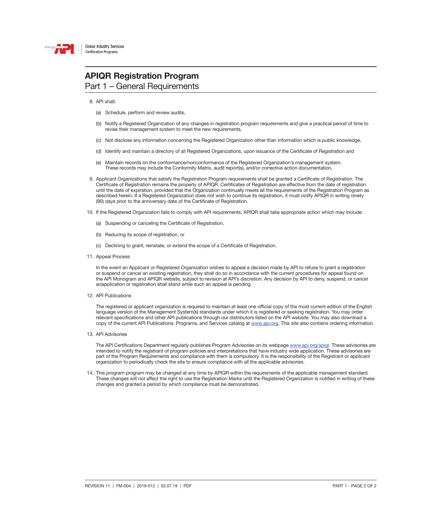

### APIQR Registration Program Part 1 – General Requirements

8. API shall:

- (a) Schedule, perform and review audits,
- (b) Notify a Registered Organization of any changes in registration program requirements and give a practical period of time to revise their management system to meet the new requirements,
- (c) Not disclose any information concerning the Registered Organization other than information which is public knowledge,
- (d) Identify and maintain a directory of all Registered Organizations, upon issuance of the Certificate of Registration and
- (e) Maintain records on the conformance/nonconformance of the Registered Organization's management system. These records may include the Conformity Matrix, audit report(s), and/or corrective action documentation,
- 9. Applicant Organizations that satisfy the Registration Program requirements shall be granted a Certificate of Registration. The Certificate of Registration remains the property of APIQR. Certificates of Registration are effective from the date of registration until the date of expiration, provided that the Organization continually meets all the requirements of the Registration Program as described herein. If a Registered Organization does not wish to continue its registration, it must notify APIQR in writing ninety (90) days prior to the anniversary date of the Certificate of Registration.
- 10. If the Registered Organization fails to comply with API requirements, APIQR shall take appropriate action which may include:
	- (a) Suspending or canceling the Certificate of Registration,
	- (b) Reducing its scope of registration, or
	- (c) Declining to grant, reinstate, or extend the scope of a Certificate of Registration.
- 11. Appeal Process

In the event an Applicant or Registered Organization wishes to appeal a decision made by API to refuse to grant a registration or suspend or cancel an existing registration, they shall do so in accordance with the current procedures for appeal found on the API Monogram and APIQR website, subject to revision at API's discretion. Any decision by API to deny, suspend, or cancel anapplication or registration shall stand while such an appeal is pending.

12. API Publications

The registered or applicant organization is required to maintain at least one official copy of the most current edition of the English language version of the Management System(s) standards under which it is registered or seeking registration. You may order relevant specifications and other API publications through our distributors listed on the API website. You may also download a copy of the current API Publications, Programs, and Services catalog at [www.api.org](http://www.api.org). This site also contains ordering information.

13. API Advisories

The API Certifications Department regularly publishes Program Advisories on its webpage [www.api.org](http://www.api.org/apiqr)/apiqr. These advisories are intended to notify the registrant of program policies and interpretations that have industry wide application. These advisories are part of the Program Requirements and compliance with them is compulsory. It is the responsibility of the Registrant or applicant organization to periodically check the site to ensure compliance with all the applicable advisories.

14. This program program may be changed at any time by APIQR within the requirements of the applicable management standard. These changes will not affect the right to use the Registration Marks until the Registered Organization is notified in writing of these changes and granted a period by which compliance must be demonstrated.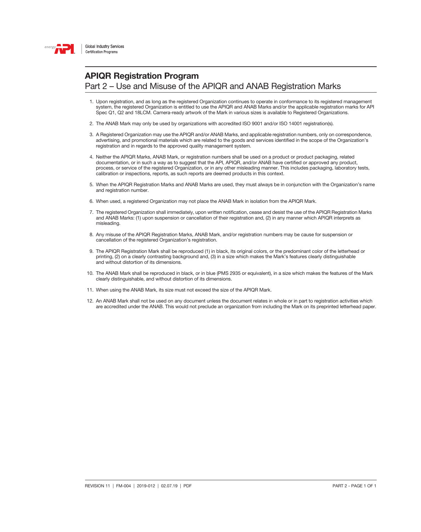

### APIQR Registration Program Part 2 – Use and Misuse of the APIQR and ANAB Registration Marks

- 1. Upon registration, and as long as the registered Organization continues to operate in conformance to its registered management system, the registered Organization is entitled to use the APIQR and ANAB Marks and/or the applicable registration marks for API Spec Q1, Q2 and 18LCM. Camera-ready artwork of the Mark in various sizes is available to Registered Organizations.
- 2. The ANAB Mark may only be used by organizations with accredited ISO 9001 and/or ISO 14001 registration(s).
- 3. A Registered Organization may use the APIQR and/or ANAB Marks, and applicable registration numbers, only on correspondence, advertising, and promotional materials which are related to the goods and services identified in the scope of the Organization's registration and in regards to the approved quality management system.
- 4. Neither the APIQR Marks, ANAB Mark, or registration numbers shall be used on a product or product packaging, related documentation, or in such a way as to suggest that the API, APIQR, and/or ANAB have certified or approved any product, process, or service of the registered Organization, or in any other misleading manner. This includes packaging, laboratory tests, calibration or inspections, reports, as such reports are deemed products in this context.
- 5. When the APIQR Registration Marks and ANAB Marks are used, they must always be in conjunction with the Organization's name and registration number.
- 6. When used, a registered Organization may not place the ANAB Mark in isolation from the APIQR Mark.
- 7. The registered Organization shall immediately, upon written notification, cease and desist the use of the APIQR Registration Marks and ANAB Marks: (1) upon suspension or cancellation of their registration and, (2) in any manner which APIQR interprets as misleading.
- 8. Any misuse of the APIQR Registration Marks, ANAB Mark, and/or registration numbers may be cause for suspension or cancellation of the registered Organization's registration.
- 9. The APIQR Registration Mark shall be reproduced (1) in black, its original colors, or the predominant color of the letterhead or printing, (2) on a clearly contrasting background and, (3) in a size which makes the Mark's features clearly distinguishable and without distortion of its dimensions.
- 10. The ANAB Mark shall be reproduced in black, or in blue (PMS 2935 or equivalent), in a size which makes the features of the Mark clearly distinguishable, and without distortion of its dimensions.
- 11. When using the ANAB Mark, its size must not exceed the size of the APIQR Mark.
- 12. An ANAB Mark shall not be used on any document unless the document relates in whole or in part to registration activities which are accredited under the ANAB. This would not preclude an organization from including the Mark on its preprinted letterhead paper.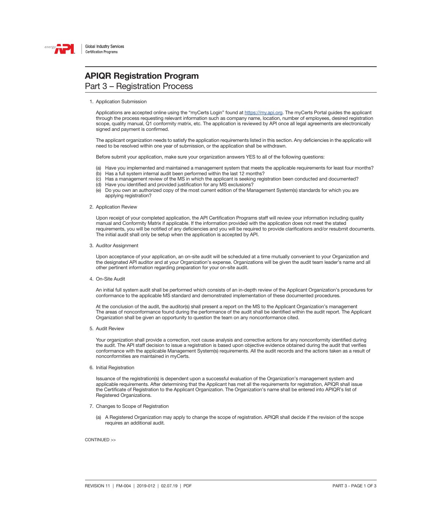

## APIQR Registration Program

### Part 3 – Registration Process

1. Application Submission

Applications are accepted online using the "myCerts Login" found at <https://my.api.org>. The myCerts Portal guides the applicant through the process requesting relevant information such as company name, location, number of employees, desired registration scope, quality manual, Q1 conformity matrix, etc. The application is reviewed by API once all legal agreements are electronically signed and payment is confirmed.

The applicant organization needs to satisfy the application requirements listed in this section. Any deficiencies in the applicatio will need to be resolved within one year of submission, or the application shall be withdrawn.

Before submit your application, make sure your organization answers YES to all of the following questions:

- (a) Have you implemented and maintained a management system that meets the applicable requirements for least four months?
- (b) Has a full system internal audit been performed within the last 12 months?
- (c) Has a management review of the MS in which the applicant is seeking registration been conducted and documented?
- (d) Have you identified and provided justification for any MS exclusions?
- (e) Do you own an authorized copy of the most current edition of the Management System(s) standards for which you are applying registration?

### 2. Application Review

Upon receipt of your completed application, the API Certification Programs staff will review your information including quality manual and Conformity Matrix if applicable. If the information provided with the application does not meet the stated requirements, you will be notified of any deficiencies and you will be required to provide clarifications and/or resubmit documents. The initial audit shall only be setup when the application is accepted by API.

#### 3. Auditor Assignment

Upon acceptance of your application, an on-site audit will be scheduled at a time mutually convenient to your Organization and the designated API auditor and at your Organization's expense. Organizations will be given the audit team leader's name and all other pertinent information regarding preparation for your on-site audit.

4. On-Site Audit

An initial full system audit shall be performed which consists of an in-depth review of the Applicant Organization's procedures for conformance to the applicable MS standard and demonstrated implementation of these documented procedures.

At the conclusion of the audit, the auditor(s) shall present a report on the MS to the Applicant Organization's management The areas of nonconformance found during the performance of the audit shall be identified within the audit report. The Applicant Organization shall be given an opportunity to question the team on any nonconformance cited.

5. Audit Review

Your organization shall provide a correction, root cause analysis and corrective actions for any nonconformity identified during the audit. The API staff decision to issue a registration is based upon objective evidence obtained during the audit that verifies conformance with the applicable Management System(s) requirements. All the audit records and the actions taken as a result of nonconformities are maintained in myCerts.

6. Initial Registration

Issuance of the registration(s) is dependent upon a successful evaluation of the Organization's management system and applicable requirements. After determining that the Applicant has met all the requirements for registration, APIQR shall issue the Certificate of Registration to the Applicant Organization. The Organization's name shall be entered into APIQR's list of Registered Organizations.

- 7. Changes to Scope of Registration
	- (a) A Registered Organization may apply to change the scope of registration. APIQR shall decide if the revision of the scope requires an additional audit.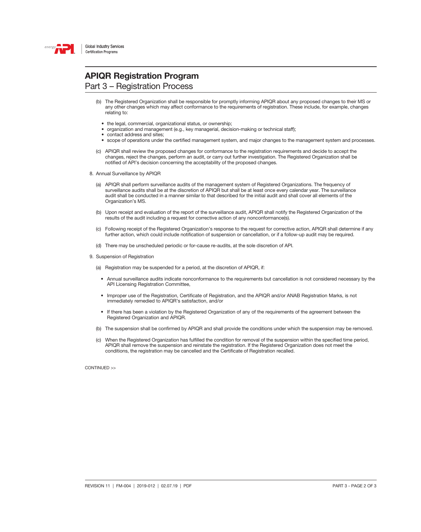

## APIQR Registration Program

Part 3 – Registration Process

- (b) The Registered Organization shall be responsible for promptly informing APIQR about any proposed changes to their MS or any other changes which may affect conformance to the requirements of registration. These include, for example, changes relating to:
	- the legal, commercial, organizational status, or ownership;
	- organization and management (e.g., key managerial, decision-making or technical staff);
	- contact address and sites;
	- scope of operations under the certified management system, and major changes to the management system and processes.
- (c) APIQR shall review the proposed changes for conformance to the registration requirements and decide to accept the changes, reject the changes, perform an audit, or carry out further investigation. The Registered Organization shall be notified of API's decision concerning the acceptability of the proposed changes.
- 8. Annual Surveillance by APIQR
	- (a) APIQR shall perform surveillance audits of the management system of Registered Organizations. The frequency of surveillance audits shall be at the discretion of APIQR but shall be at least once every calendar year. The surveillance audit shall be conducted in a manner similar to that described for the initial audit and shall cover all elements of the Organization's MS.
	- (b) Upon receipt and evaluation of the report of the surveillance audit, APIQR shall notify the Registered Organization of the results of the audit including a request for corrective action of any nonconformance(s).
	- (c) Following receipt of the Registered Organization's response to the request for corrective action, APIQR shall determine if any further action, which could include notification of suspension or cancellation, or if a follow-up audit may be required.
	- (d) There may be unscheduled periodic or for-cause re-audits, at the sole discretion of API.
- 9. Suspension of Registration
	- (a) Registration may be suspended for a period, at the discretion of APIQR, if:
		- Annual surveillance audits indicate nonconformance to the requirements but cancellation is not considered necessary by the API Licensing Registration Committee,
		- Improper use of the Registration, Certificate of Registration, and the APIQR and/or ANAB Registration Marks, is not immediately remedied to APIQR's satisfaction, and/or
		- If there has been a violation by the Registered Organization of any of the requirements of the agreement between the Registered Organization and APIQR.
	- (b) The suspension shall be confirmed by APIQR and shall provide the conditions under which the suspension may be removed.
	- (c) When the Registered Organization has fulfilled the condition for removal of the suspension within the specified time period, APIQR shall remove the suspension and reinstate the registration. If the Registered Organization does not meet the conditions, the registration may be cancelled and the Certificate of Registration recalled.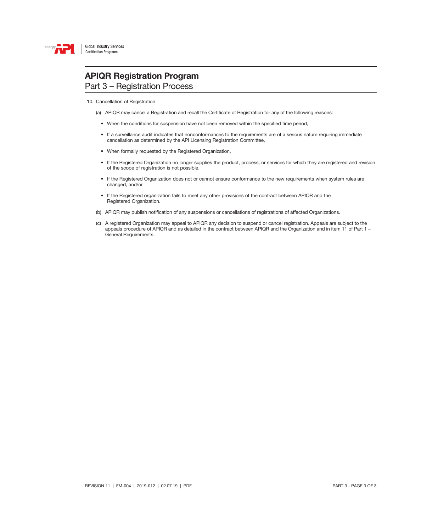

### APIQR Registration Program Part 3 – Registration Process

10. Cancellation of Registration

- (a) APIQR may cancel a Registration and recall the Certificate of Registration for any of the following reasons:
	- When the conditions for suspension have not been removed within the specified time period,
	- If a surveillance audit indicates that nonconformances to the requirements are of a serious nature requiring immediate cancellation as determined by the API Licensing Registration Committee,
	- When formally requested by the Registered Organization,
	- If the Registered Organization no longer supplies the product, process, or services for which they are registered and revision of the scope of registration is not possible,
	- If the Registered Organization does not or cannot ensure conformance to the new requirements when system rules are changed, and/or
	- If the Registered organization fails to meet any other provisions of the contract between APIQR and the Registered Organization.
- (b) APIQR may publish notification of any suspensions or cancellations of registrations of affected Organizations.
- (c) A registered Organization may appeal to APIQR any decision to suspend or cancel registration. Appeals are subject to the appeals procedure of APIQR and as detailed in the contract between APIQR and the Organization and in item 11 of Part 1 – General Requirements.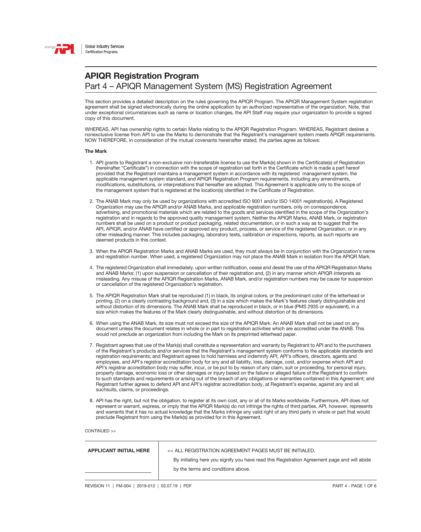

This section provides a detailed description on the rules governing the APIQR Program. The APIQR Management System registration agreement shall be signed electronically during the online application by an authorized representative of the organization. Note, that under exceptional circumstances such as name or location changes, the API Staff may require your organization to provide a signed copy of this document.

WHEREAS, API has ownership rights to certain Marks relating to the APIQR Registration Program. WHEREAS, Registrant desires a nonexclusive license from API to use the Marks to demonstrate that the Registrant's management system meets APIQR requirements. NOW THEREFORE, in consideration of the mutual covenants hereinafter stated, the parties agree as follows:

### The Mark

- 1. API grants to Registrant a non-exclusive non-transferable license to use the Mark(s) shown in the Certificate(s) of Registration (hereinafter "Certificate") in connection with the scope of registration set forth in the Certificate which is made a part hereof provided that the Registrant maintains a management system in accordance with its registered management system, the applicable management system standard, and APIQR Registration Program requirements, including any amendments, modifications, substitutions, or interpretations that hereafter are adopted. This Agreement is applicable only to the scope of the management system that is registered at the location(s) identified in the Certificate of Registration.
- 2. The ANAB Mark may only be used by organizations with accredited ISO 9001 and/or ISO 14001 registration(s). A Registered Organization may use the APIQR and/or ANAB Marks, and applicable registration numbers, only on correspondence, advertising, and promotional materials which are related to the goods and services identified in the scope of the Organization's registration and in regards to the approved quality management system. Neither the APIQR Marks, ANAB Mark, or registration numbers shall be used on a product or product packaging, related documentation, or in such a way as to suggest that the API, APIQR, and/or ANAB have certified or approved any product, process, or service of the registered Organization, or in any other misleading manner. This includes packaging, laboratory tests, calibration or inspections, reports, as such reports are deemed products in this context.
- 3. When the APIQR Registration Marks and ANAB Marks are used, they must always be in conjunction with the Organization's name and registration number. When used, a registered Organization may not place the ANAB Mark in isolation from the APIQR Mark.
- 4. The registered Organization shall immediately, upon written notification, cease and desist the use of the APIQR Registration Marks and ANAB Marks: (1) upon suspension or cancellation of their registration and, (2) in any manner which APIQR interprets as misleading. Any misuse of the APIQR Registration Marks, ANAB Mark, and/or registration numbers may be cause for suspension or cancellation of the registered Organization's registration.
- 5. The APIQR Registration Mark shall be reproduced (1) in black, its original colors, or the predominant color of the letterhead or printing, (2) on a clearly contrasting background and, (3) in a size which makes the Mark's features clearly distinguishable and without distortion of its dimensions. The ANAB Mark shall be reproduced in black, or in blue (PMS 2935 or equivalent), in a size which makes the features of the Mark clearly distinguishable, and without distortion of its dimensions.
- 6. When using the ANAB Mark, its size must not exceed the size of the APIQR Mark. An ANAB Mark shall not be used on any document unless the document relates in whole or in part to registration activities which are accredited under the ANAB. This would not preclude an organization from including the Mark on its preprinted letterhead paper.
- 7. Registrant agrees that use of the Mark(s) shall constitute a representation and warranty by Registrant to API and to the purchasers of the Registrant's products and/or services that the Registrant's management system conforms to the applicable standards and registration requirements; and Registrant agrees to hold harmless and indemnify API, API's officers, directors, agents and employees, and API's registrar accreditation body for any and all liability, loss, damage, cost, and/or expense which API and API's registrar accreditation body may suffer, incur, or be put to by reason of any claim, suit or proceeding, for personal injury, property damage, economic loss or other damages or injury based on the failure or alleged failure of the Registrant to conform to such standards and requirements or arising out of the breach of any obligations or warranties contained in this Agreement; and Registrant further agrees to defend API and API's registrar accreditation body, at Registrant's expense, against any and all suchsuits, claims, or proceedings.
- 8. API has the right, but not the obligation, to register at its own cost, any or all of its Marks worldwide. Furthermore, API does not represent or warrant, express, or imply that the APIQR Mark(s) do not infringe the rights of third parties. API, however, represents and warrants that it has no actual knowledge that the Marks infringe any valid right of any third party in whole or part that would preclude Registrant from using the Mark(s) as provided for in this Agreement.

| <b>APPLICANT INITIAL HERE</b> | << ALL REGISTRATION AGREEMENT PAGES MUST BE INITIALED.                                       |  |
|-------------------------------|----------------------------------------------------------------------------------------------|--|
|                               | By initialing here you signify you have read this Registration Agreement page and will abide |  |
|                               | by the terms and conditions above.                                                           |  |
|                               |                                                                                              |  |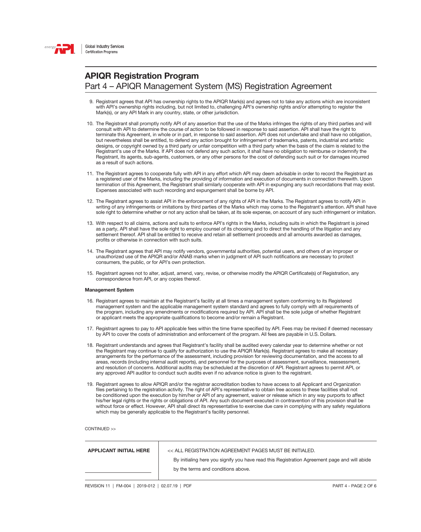

- 9. Registrant agrees that API has ownership rights to the APIQR Mark(s) and agrees not to take any actions which are inconsistent with API's ownership rights including, but not limited to, challenging API's ownership rights and/or attempting to register the Mark(s), or any API Mark in any country, state, or other jurisdiction.
- 10. The Registrant shall promptly notify API of any assertion that the use of the Marks infringes the rights of any third parties and will consult with API to determine the course of action to be followed in response to said assertion. API shall have the right to terminate this Agreement, in whole or in part, in response to said assertion. API does not undertake and shall have no obligation, but nevertheless shall be entitled, to defend any action brought for infringement of trademarks, patents, industrial and artistic designs, or copyright owned by a third party or unfair competition with a third party when the basis of the claim is related to the Registrant's use of the Marks. If API does not defend any such action, it shall have no obligation to reimburse or indemnify the Registrant, its agents, sub-agents, customers, or any other persons for the cost of defending such suit or for damages incurred as a result of such actions.
- 11. The Registrant agrees to cooperate fully with API in any effort which API may deem advisable in order to record the Registrant as a registered user of the Marks, including the providing of information and execution of documents in connection therewith. Upon termination of this Agreement, the Registrant shall similarly cooperate with API in expunging any such recordations that may exist. Expenses associated with such recording and expungement shall be borne by API.
- 12. The Registrant agrees to assist API in the enforcement of any rights of API in the Marks. The Registrant agrees to notify API in writing of any infringements or imitations by third parties of the Marks which may come to the Registrant's attention. API shall have sole right to determine whether or not any action shall be taken, at its sole expense, on account of any such infringement or imitation.
- 13. With respect to all claims, actions and suits to enforce API's rights in the Marks, including suits in which the Registrant is joined as a party, API shall have the sole right to employ counsel of its choosing and to direct the handling of the litigation and any settlement thereof. API shall be entitled to receive and retain all settlement proceeds and all amounts awarded as damages, profits or otherwise in connection with such suits.
- 14. The Registrant agrees that API may notify vendors, governmental authorities, potential users, and others of an improper or unauthorized use of the APIQR and/or ANAB marks when in judgment of API such notifications are necessary to protect consumers, the public, or for API's own protection.
- 15. Registrant agrees not to alter, adjust, amend, vary, revise, or otherwise modify the APIQR Certificate(s) of Registration, any correspondence from API, or any copies thereof.

### Management System

- 16. Registrant agrees to maintain at the Registrant's facility at all times a management system conforming to its Registered management system and the applicable management system standard and agrees to fully comply with all requirements of the program, including any amendments or modifications required by API. API shall be the sole judge of whether Registrant or applicant meets the appropriate qualifications to become and/or remain a Registrant.
- 17. Registrant agrees to pay to API applicable fees within the time frame specified by API. Fees may be revised if deemed necessary by API to cover the costs of administration and enforcement of the program. All fees are payable in U.S. Dollars.
- 18. Registrant understands and agrees that Registrant's facility shall be audited every calendar year to determine whether or not the Registrant may continue to qualify for authorization to use the APIQR Mark(s). Registrant agrees to make all necessary arrangements for the performance of the assessment, including provision for reviewing documentation, and the access to all areas, records (including internal audit reports), and personnel for the purposes of assessment, surveillance, reassessment, and resolution of concerns. Additional audits may be scheduled at the discretion of API. Registrant agrees to permit API, or any approved API auditor to conduct such audits even if no advance notice is given to the registrant.
- 19. Registrant agrees to allow APIQR and/or the registrar accreditation bodies to have access to all Applicant and Organization files pertaining to the registration activity. The right of API's representative to obtain free access to these facilities shall not be conditioned upon the execution by him/her or API of any agreement, waiver or release which in any way purports to affect his/her legal rights or the rights or obligations of API. Any such document executed in contravention of this provision shall be without force or effect. However, API shall direct its representative to exercise due care in complying with any safety regulations which may be generally applicable to the Registrant's facility personnel.

| <b>APPLICANT INITIAL HERE</b> | << ALL REGISTRATION AGREEMENT PAGES MUST BE INITIALED.                                       |  |  |
|-------------------------------|----------------------------------------------------------------------------------------------|--|--|
|                               | By initialing here you signify you have read this Registration Agreement page and will abide |  |  |
|                               | by the terms and conditions above.                                                           |  |  |
|                               |                                                                                              |  |  |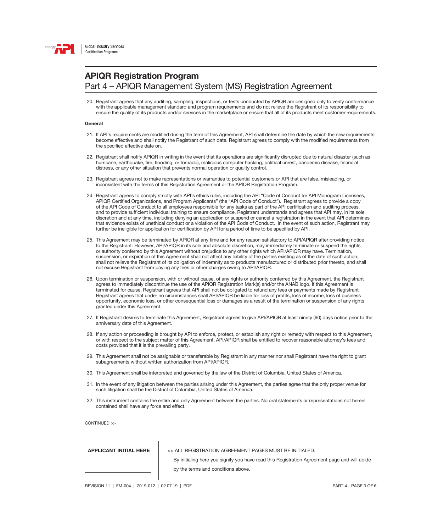

20. Registrant agrees that any auditing, sampling, inspections, or tests conducted by APIQR are designed only to verify conformance with the applicable management standard and program requirements and do not relieve the Registrant of its responsibility to ensure the quality of its products and/or services in the marketplace or ensure that all of its products meet customer requirements.

#### General

- 21. If API's requirements are modified during the term of this Agreement, API shall determine the date by which the new requirements become effective and shall notify the Registrant of such date. Registrant agrees to comply with the modified requirements from the specified effective date on.
- 22. Registrant shall notify APIQR in writing in the event that its operations are significantly disrupted due to natural disaster (such as hurricane, earthquake, fire, flooding, or tornado), malicious computer hacking, political unrest, pandemic disease, financial distress, or any other situation that prevents normal operation or quality control.
- 23. Registrant agrees not to make representations or warranties to potential customers or API that are false, misleading, or inconsistent with the terms of this Registration Agreement or the APIQR Registration Program.
- 24. Registrant agrees to comply strictly with API's ethics rules, including the API "Code of Conduct for API Monogram Licensees, APIQR Certified Organizations, and Program Applicants" (the "API Code of Conduct"). Registrant agrees to provide a copy of the API Code of Conduct to all employees responsible for any tasks as part of the API certification and auditing process, and to provide sufficient individual training to ensure compliance. Registrant understands and agrees that API may, in its sole discretion and at any time, including denying an application or suspend or cancel a registration in the event that API determines that evidence exists of unethical conduct or a violation of the API Code of Conduct. In the event of such action, Registrant may further be ineligible for application for certification by API for a period of time to be specified by API.
- 25. This Agreement may be terminated by APIQR at any time and for any reason satisfactory to API/APIQR after providing notice to the Registrant. However, API/APIQR in its sole and absolute discretion, may immediately terminate or suspend the rights or authority conferred by this Agreement without prejudice to any other rights which API/APIQR may have. Termination, suspension, or expiration of this Agreement shall not affect any liability of the parties existing as of the date of such action, shall not relieve the Registrant of its obligation of indemnity as to products manufactured or distributed prior thereto, and shall not excuse Registrant from paying any fees or other charges owing to API/APIQR.
- 26. Upon termination or suspension, with or without cause, of any rights or authority conferred by this Agreement, the Registrant agrees to immediately discontinue the use of the APIQR Registration Mark(s) and/or the ANAB logo. If this Agreement is terminated for cause, Registrant agrees that API shall not be obligated to refund any fees or payments made by Registrant Registrant agrees that under no circumstances shall API/APIQR be liable for loss of profits, loss of income, loss of business opportunity, economic loss, or other consequential loss or damages as a result of the termination or suspension of any rights granted under this Agreement.
- 27. If Registrant desires to terminate this Agreement, Registrant agrees to give API/APIQR at least ninety (90) days notice prior to the anniversary date of this Agreement.
- 28. If any action or proceeding is brought by API to enforce, protect, or establish any right or remedy with respect to this Agreement, or with respect to the subject matter of this Agreement, API/APIQR shall be entitled to recover reasonable attorney's fees and costs provided that it is the prevailing party.
- 29. This Agreement shall not be assignable or transferable by Registrant in any manner nor shall Registrant have the right to grant subagreements without written authorization from API/APIQR.
- 30. This Agreement shall be interpreted and governed by the law of the District of Columbia, United States of America.
- 31. In the event of any litigation between the parties arising under this Agreement, the parties agree that the only proper venue for such litigation shall be the District of Columbia, United States of America.
- 32. This instrument contains the entire and only Agreement between the parties. No oral statements or representations not herein contained shall have any force and effect.

CONTINUED >>

|  | <b>APPLICANT INITIAL HERE</b> |  |
|--|-------------------------------|--|
|  |                               |  |

 $\begin{array}{|c|c|c|}\hline \text{1}\end{array}$  << all registration agreement pages must be initialed.

By initialing here you signify you have read this Registration Agreement page and will abide by the terms and conditions above.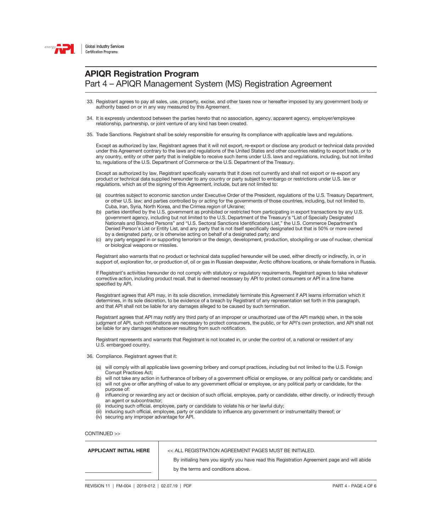

- 33. Registrant agrees to pay all sales, use, property, excise, and other taxes now or hereafter imposed by any government body or authority based on or in any way measured by this Agreement.
- 34. It is expressly understood between the parties hereto that no association, agency, apparent agency, employer/employee relationship, partnership, or joint venture of any kind has been created.
- 35. Trade Sanctions. Registrant shall be solely responsible for ensuring its compliance with applicable laws and regulations.

Except as authorized by law, Registrant agrees that it will not export, re-export or disclose any product or technical data provided under this Agreement contrary to the laws and regulations of the United States and other countries relating to export trade, or to any country, entity or other party that is ineligible to receive such items under U.S. laws and regulations, including, but not limited to, regulations of the U.S. Department of Commerce or the U.S. Department of the Treasury.

Except as authorized by law, Registrant specifically warrants that it does not currently and shall not export or re-export any product or technical data supplied hereunder to any country or party subject to embargo or restrictions under U.S. law or regulations, which as of the signing of this Agreement, include, but are not limited to:

- (a) countries subject to economic sanction under Executive Order of the President, regulations of the U.S. Treasury Department, or other U.S. law; and parties controlled by or acting for the governments of those countries, including, but not limited to, Cuba, Iran, Syria, North Korea, and the Crimea region of Ukraine;
- (b) parties identified by the U.S. government as prohibited or restricted from participating in export transactions by any U.S. government agency, including but not limited to the U.S. Department of the Treasury's "List of Specially Designated Nationals and Blocked Persons" and "U.S. Sectoral Sanctions Identifications List," the U.S. Commerce Department's Denied Person's List or Entity List, and any party that is not itself specifically designated but that is 50% or more owned by a designated party, or is otherwise acting on behalf of a designated party; and
- (c) any party engaged in or supporting terrorism or the design, development, production, stockpiling or use of nuclear, chemical or biological weapons or missiles.

Registrant also warrants that no product or technical data supplied hereunder will be used, either directly or indirectly, in, or in support of, exploration for, or production of, oil or gas in Russian deepwater, Arctic offshore locations, or shale formations in Russia.

If Registrant's activities hereunder do not comply with statutory or regulatory requirements, Registrant agrees to take whatever corrective action, including product recall, that is deemed necessary by API to protect consumers or API in a time frame specified by API.

Resgistrant agrees that API may, in its sole discretion, immediately terminate this Agreement if API learns information which it determines, in its sole discretion, to be evidence of a breach by Registrant of any representation set forth in this paragraph, and that API shall not be liable for any damages alleged to be caused by such termination.

Registrant agrees that API may notify any third party of an improper or unauthorized use of the API mark(s) when, in the sole judgment of API, such notifications are necessary to protect consumers, the public, or for API's own protection, and API shall not be liable for any damages whatsoever resulting from such notification.

Registrant represents and warrants that Registrant is not located in, or under the control of, a national or resident of any U.S. embargoed country.

36. Compliance. Registrant agrees that it:

- (a) will comply with all applicable laws governing bribery and corrupt practices, including but not limited to the U.S. Foreign Corrupt Practices Act;
- (b) will not take any action in furtherance of bribery of a government official or employee, or any political party or candidate; and (c) will not give or offer anything of value to any government official or employee, or any political party or candidate, for the
- purpose of: (i) influencing or rewarding any act or decision of such official, employee, party or candidate, either directly, or indirectly through
- an agent or subcontractor;
- (ii) inducing such official, employee, party or candidate to violate his or her lawful duty;
- (iii) inducing such official, employee, party or candidate to influence any government or instrumentality thereof; or
- (iv) securing any improper advantage for API.

| <b>APPLICANT INITIAL HERE</b> | << ALL REGISTRATION AGREEMENT PAGES MUST BE INITIALED.                                       |  |  |
|-------------------------------|----------------------------------------------------------------------------------------------|--|--|
|                               | By initialing here you signify you have read this Registration Agreement page and will abide |  |  |
|                               | by the terms and conditions above.                                                           |  |  |
|                               |                                                                                              |  |  |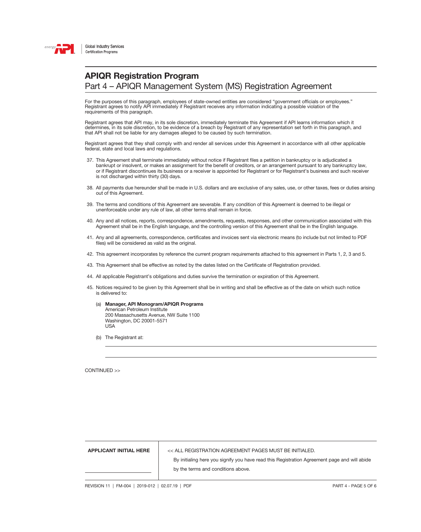

For the purposes of this paragraph, employees of state-owned entities are considered "government officials or employees." Registrant agrees to notify API immediately if Registrant receives any information indicating a possible violation of the requirements of this paragraph.

Registrant agrees that API may, in its sole discretion, immediately terminate this Agreement if API learns information which it determines, in its sole discretion, to be evidence of a breach by Registrant of any representation set forth in this paragraph, and that API shall not be liable for any damages alleged to be caused by such termination.

Registrant agrees that they shall comply with and render all services under this Agreement in accordance with all other applicable federal, state and local laws and regulations.

- 37. This Agreement shall terminate immediately without notice if Registrant files a petition in bankruptcy or is adjudicated a bankrupt or insolvent, or makes an assignment for the benefit of creditors, or an arrangement pursuant to any bankruptcy law, or if Registrant discontinues its business or a receiver is appointed for Registrant or for Registrant's business and such receiver is not discharged within thirty (30) days.
- 38. All payments due hereunder shall be made in U.S. dollars and are exclusive of any sales, use, or other taxes, fees or duties arising out of this Agreement.
- 39. The terms and conditions of this Agreement are severable. If any condition of this Agreement is deemed to be illegal or unenforceable under any rule of law, all other terms shall remain in force.
- 40. Any and all notices, reports, correspondence, amendments, requests, responses, and other communication associated with this Agreement shall be in the English language, and the controlling version of this Agreement shall be in the English language.
- 41. Any and all agreements, correspondence, certificates and invoices sent via electronic means (to include but not limited to PDF files) will be considered as valid as the original.
- 42. This agreement incorporates by reference the current program requirements attached to this agreement in Parts 1, 2, 3 and 5.
- 43. This Agreement shall be effective as noted by the dates listed on the Certificate of Registration provided.
- 44. All applicable Registrant's obligations and duties survive the termination or expiration of this Agreement.
- 45. Notices required to be given by this Agreement shall be in writing and shall be effective as of the date on which such notice is delivered to:
	- (a) Manager, API Monogram/APIQR Programs American Petroleum Institute 200 Massachusetts Avenue, NW Suite 1100 Washington, DC 20001-5571 USA
	- (b) The Registrant at:

CONTINUED >>

APPLICANT INITIAL HERE << ALL REGISTRATION AGREEMENT PAGES MUST BE INITIALED.

By initialing here you signify you have read this Registration Agreement page and will abide by the terms and conditions above.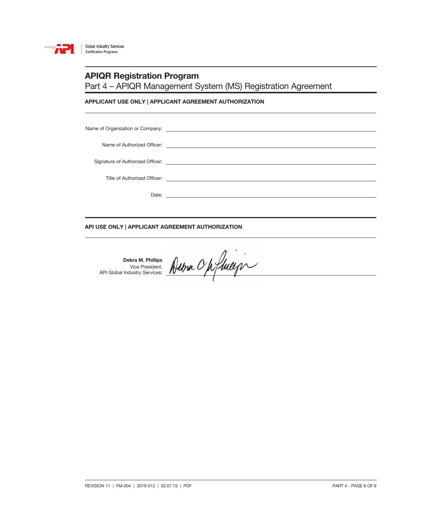

### APIQR Registration Program

Part 4 – APIQR Management System (MS) Registration Agreement

### APPLICANT USE ONLY | APPLICANT AGREEMENT AUTHORIZATION

### API USE ONLY | APPLICANT AGREEMENT AUTHORIZATION

Debra M. Phillips Vice President, API Global Industry Services: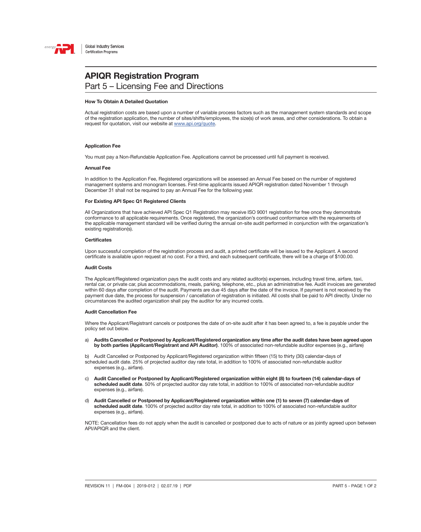

### **APIQR Registration Program** Part 5 – Licensing Fee and Directions

#### How To Obtain A Detailed Quotation

Actual registration costs are based upon a number of variable process factors such as the management system standards and scope of the registration application, the number of sites/shifts/employees, the size(s) of work areas, and other considerations. To obtain a request for quotation, visit our website at [www.api.org/quote](http://www.api.org/quote).

#### Application Fee

You must pay a Non-Refundable Application Fee. Applications cannot be processed until full payment is received.

#### Annual Fee

In addition to the Application Fee, Registered organizations will be assessed an Annual Fee based on the number of registered management systems and monogram licenses. First-time applicants issued APIQR registration dated November 1 through December 31 shall not be required to pay an Annual Fee for the following year.

#### For Existing API Spec Q1 Registered Clients

All Organizations that have achieved API Spec Q1 Registration may receive ISO 9001 registration for free once they demonstrate conformance to all applicable requirements. Once registered, the organization's continued conformance with the requirements of the applicable management standard will be verified during the annual on-site audit performed in conjunction with the organization's existing registration(s).

#### **Certificates**

Upon successful completion of the registration process and audit, a printed certificate will be issued to the Applicant. A second certificate is available upon request at no cost. For a third, and each subsequent certificate, there will be a charge of \$100.00.

#### Audit Costs

The Applicant/Registered organization pays the audit costs and any related auditor(s) expenses, including travel time, airfare, taxi, rental car, or private car, plus accommodations, meals, parking, telephone, etc., plus an administrative fee. Audit invoices are generated within 60 days after completion of the audit. Payments are due 45 days after the date of the invoice. If payment is not received by the payment due date, the process for suspension / cancellation of registration is initiated. All costs shall be paid to API directly. Under no circumstances the audited organization shall pay the auditor for any incurred costs.

#### Audit Cancellation Fee

Where the Applicant/Registrant cancels or postpones the date of on-site audit after it has been agreed to, a fee is payable under the policy set out below.

a) Audits Cancelled or Postponed by Applicant/Registered organization any time after the audit dates have been agreed upon by both parties (Applicant/Registrant and API Auditor). 100% of associated non-refundable auditor expenses (e.g., airfare)

b) Audit Cancelled or Postponed by Applicant/Registered organization within fifteen (15) to thirty (30) calendar-days of scheduled audit date. 25% of projected auditor day rate total, in addition to 100% of associated non-refundable auditor expenses (e.g., airfare).

- c) Audit Cancelled or Postponed by Applicant/Registered organization within eight (8) to fourteen (14) calendar-days of scheduled audit date. 50% of projected auditor day rate total, in addition to 100% of associated non-refundable auditor expenses (e.g., airfare).
- d) Audit Cancelled or Postponed by Applicant/Registered organization within one (1) to seven (7) calendar-days of scheduled audit date. 100% of projected auditor day rate total, in addition to 100% of associated non-refundable auditor expenses (e.g., airfare).

NOTE: Cancellation fees do not apply when the audit is cancelled or postponed due to acts of nature or as jointly agreed upon between API/APIQR and the client.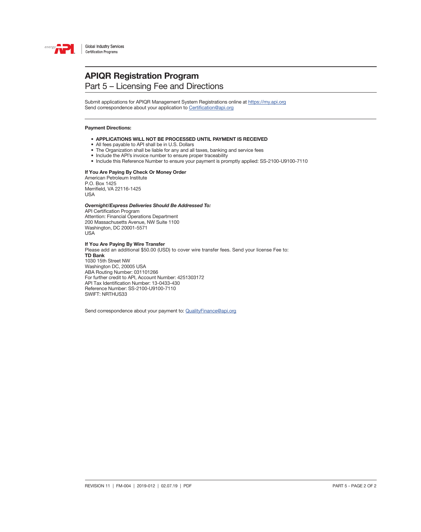

### **APIQR Registration Program** Part 5 – Licensing Fee and Directions

Submit applications for APIQR Management System Registrations online at<https://my.api.org> Send correspondence about your application to [Certification@api.org](mailto:Certification%40api.org?subject=)

#### Payment Directions:

- APPLICATIONS WILL NOT BE PROCESSED UNTIL PAYMENT IS RECEIVED
- All fees payable to API shall be in U.S. Dollars
- The Organization shall be liable for any and all taxes, banking and service fees
- Include the API's invoice number to ensure proper traceability
- Include this Reference Number to ensure your payment is promptly applied: SS-2100-U9100-7110

### If You Are Paying By Check Or Money Order

American Petroleum Institute P.O. Box 1425 Merrifield, VA 22116-1425 USA

### *Overnight/Express Deliveries Should Be Addressed To:*

API Certification Program Attention: Financial Operations Department 200 Massachusetts Avenue, NW Suite 1100 Washington, DC 20001-5571 USA

### If You Are Paying By Wire Transfer

Please add an additional \$50.00 (USD) to cover wire transfer fees. Send your license Fee to: TD Bank 1030 15th Street NW Washington DC, 20005 USA ABA Routing Number: 031101266 For further credit to API, Account Number: 4251303172 API Tax Identification Number: 13-0433-430 Reference Number: SS-2100-U9100-7110 SWIFT: NRTHUS33

Send correspondence about your payment to: [QualityFinance@api.org](mailto:QualityFinance%40api.org?subject=)